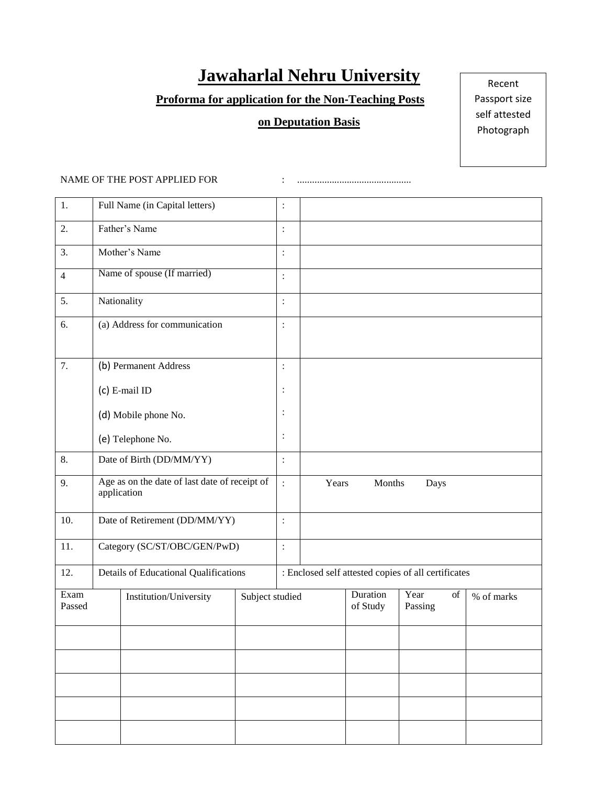# **Jawaharlal Nehru University**

## **Proforma for application for the Non‐Teaching Posts**

# **on Deputation Basis**

Recent Passport size self attested Photograph

## NAME OF THE POST APPLIED FOR : ..............................................

| 1.               | Full Name (in Capital letters)                               |                                       | $\vdots$       |                         |                      |                                                     |    |            |  |  |
|------------------|--------------------------------------------------------------|---------------------------------------|----------------|-------------------------|----------------------|-----------------------------------------------------|----|------------|--|--|
| 2.               | Father's Name                                                |                                       |                | $\vdots$                |                      |                                                     |    |            |  |  |
| 3.               | Mother's Name                                                |                                       |                | $\vdots$                |                      |                                                     |    |            |  |  |
| $\overline{4}$   | Name of spouse (If married)                                  |                                       |                | $\colon$                |                      |                                                     |    |            |  |  |
| 5.               | Nationality                                                  |                                       |                | $\colon$                |                      |                                                     |    |            |  |  |
| 6.               | (a) Address for communication                                |                                       |                | $\colon$                |                      |                                                     |    |            |  |  |
| $\overline{7}$ . | (b) Permanent Address                                        |                                       |                | $\vdots$                |                      |                                                     |    |            |  |  |
|                  | (c) E-mail ID                                                |                                       |                | $\vdots$                |                      |                                                     |    |            |  |  |
|                  | (d) Mobile phone No.                                         |                                       |                |                         |                      |                                                     |    |            |  |  |
|                  | (e) Telephone No.                                            |                                       |                | $\vdots$                |                      |                                                     |    |            |  |  |
| 8.               | Date of Birth (DD/MM/YY)                                     |                                       |                | $\ddot{\cdot}$          |                      |                                                     |    |            |  |  |
| 9.               | Age as on the date of last date of receipt of<br>application |                                       | $\ddot{\cdot}$ | Years<br>Months<br>Days |                      |                                                     |    |            |  |  |
| 10.              | Date of Retirement (DD/MM/YY)                                |                                       |                | $\colon$                |                      |                                                     |    |            |  |  |
| 11.              |                                                              | Category (SC/ST/OBC/GEN/PwD)          |                |                         |                      |                                                     |    |            |  |  |
| 12.              |                                                              | Details of Educational Qualifications |                |                         |                      | : Enclosed self attested copies of all certificates |    |            |  |  |
| Exam<br>Passed   | Institution/University<br>Subject studied                    |                                       |                |                         | Duration<br>of Study | Year<br>Passing                                     | of | % of marks |  |  |
|                  |                                                              |                                       |                |                         |                      |                                                     |    |            |  |  |
|                  |                                                              |                                       |                |                         |                      |                                                     |    |            |  |  |
|                  |                                                              |                                       |                |                         |                      |                                                     |    |            |  |  |
|                  |                                                              |                                       |                |                         |                      |                                                     |    |            |  |  |
|                  |                                                              |                                       |                |                         |                      |                                                     |    |            |  |  |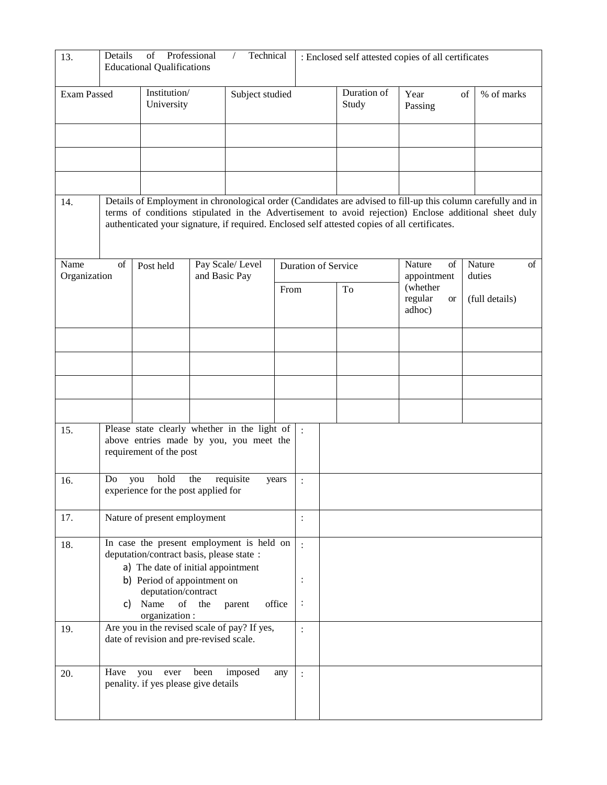| 13.                                              | Details                                                                                  | of<br><b>Educational Qualifications</b>                                                                            | Professional    | Technical<br>$\sqrt{2}$ |                |                            | : Enclosed self attested copies of all certificates                                           |                                            |                                                                                                                                                                                                                       |  |
|--------------------------------------------------|------------------------------------------------------------------------------------------|--------------------------------------------------------------------------------------------------------------------|-----------------|-------------------------|----------------|----------------------------|-----------------------------------------------------------------------------------------------|--------------------------------------------|-----------------------------------------------------------------------------------------------------------------------------------------------------------------------------------------------------------------------|--|
| Institution/<br><b>Exam Passed</b><br>University |                                                                                          |                                                                                                                    | Subject studied |                         |                | Duration of<br>Study       | Year<br>Passing                                                                               | % of marks<br>of                           |                                                                                                                                                                                                                       |  |
|                                                  |                                                                                          |                                                                                                                    |                 |                         |                |                            |                                                                                               |                                            |                                                                                                                                                                                                                       |  |
|                                                  |                                                                                          |                                                                                                                    |                 |                         |                |                            |                                                                                               |                                            |                                                                                                                                                                                                                       |  |
| 14.                                              |                                                                                          |                                                                                                                    |                 |                         |                |                            | authenticated your signature, if required. Enclosed self attested copies of all certificates. |                                            | Details of Employment in chronological order (Candidates are advised to fill-up this column carefully and in<br>terms of conditions stipulated in the Advertisement to avoid rejection) Enclose additional sheet duly |  |
| Name<br>Organization                             | of                                                                                       | Post held<br>and Basic Pay                                                                                         |                 | Pay Scale/Level         |                | <b>Duration of Service</b> |                                                                                               | Nature<br>of<br>appointment                | Nature<br>of<br>duties                                                                                                                                                                                                |  |
|                                                  |                                                                                          |                                                                                                                    |                 |                         | From           |                            | To                                                                                            | (whether<br>regular<br><b>or</b><br>adhoc) | (full details)                                                                                                                                                                                                        |  |
|                                                  |                                                                                          |                                                                                                                    |                 |                         |                |                            |                                                                                               |                                            |                                                                                                                                                                                                                       |  |
|                                                  |                                                                                          |                                                                                                                    |                 |                         |                |                            |                                                                                               |                                            |                                                                                                                                                                                                                       |  |
|                                                  |                                                                                          |                                                                                                                    |                 |                         |                |                            |                                                                                               |                                            |                                                                                                                                                                                                                       |  |
| 15.                                              |                                                                                          | Please state clearly whether in the light of<br>above entries made by you, you meet the<br>requirement of the post |                 |                         |                | $\mathbf{r}$               |                                                                                               |                                            |                                                                                                                                                                                                                       |  |
| 16.                                              | Do                                                                                       | hold<br>you<br>experience for the post applied for                                                                 | the             | requisite               | years          | $\ddot{\cdot}$             |                                                                                               |                                            |                                                                                                                                                                                                                       |  |
| 17.                                              | Nature of present employment                                                             |                                                                                                                    |                 |                         | $\ddot{\cdot}$ |                            |                                                                                               |                                            |                                                                                                                                                                                                                       |  |
| 18.                                              | In case the present employment is held on<br>deputation/contract basis, please state :   |                                                                                                                    |                 |                         | $\cdot$        |                            |                                                                                               |                                            |                                                                                                                                                                                                                       |  |
|                                                  | a) The date of initial appointment<br>b) Period of appointment on<br>deputation/contract |                                                                                                                    |                 |                         |                | $\ddot{\cdot}$             |                                                                                               |                                            |                                                                                                                                                                                                                       |  |
|                                                  | Name<br>of<br>the<br>office<br>C)<br>parent<br>organization:                             |                                                                                                                    |                 |                         |                | $\ddot{\cdot}$             |                                                                                               |                                            |                                                                                                                                                                                                                       |  |
| 19.                                              | Are you in the revised scale of pay? If yes,<br>date of revision and pre-revised scale.  |                                                                                                                    |                 |                         |                | $\ddot{\cdot}$             |                                                                                               |                                            |                                                                                                                                                                                                                       |  |
| 20.                                              | Have                                                                                     | you<br>ever<br>penality. if yes please give details                                                                | been            | imposed                 | any            | $\cdot$                    |                                                                                               |                                            |                                                                                                                                                                                                                       |  |